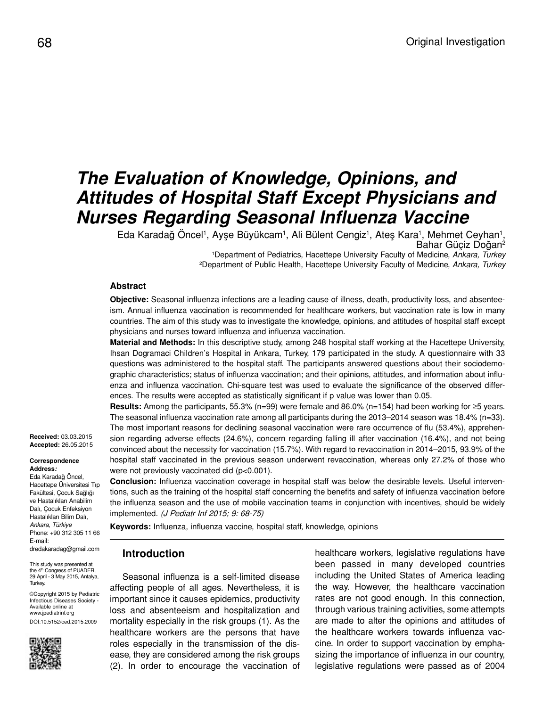# *The Evaluation of Knowledge, Opinions, and Attitudes of Hospital Staff Except Physicians and Nurses Regarding Seasonal Influenza Vaccine*

Eda Karadağ Oncel<sup>1</sup>, Ayşe Büyükcam<sup>1</sup>, Ali Bülent Cengiz<sup>1</sup>, Ateş Kara<sup>1</sup>, Mehmet Ceyhan<sup>1</sup>, Bahar Güciz Doğan<sup>2</sup>

> 1 Department of Pediatrics, Hacettepe University Faculty of Medicine, *Ankara, Turkey* 2 Department of Public Health, Hacettepe University Faculty of Medicine, *Ankara, Turkey*

#### **Abstract**

**Objective:** Seasonal influenza infections are a leading cause of illness, death, productivity loss, and absenteeism. Annual influenza vaccination is recommended for healthcare workers, but vaccination rate is low in many countries. The aim of this study was to investigate the knowledge, opinions, and attitudes of hospital staff except physicians and nurses toward influenza and influenza vaccination.

**Material and Methods:** In this descriptive study, among 248 hospital staff working at the Hacettepe University, Ihsan Dogramaci Children's Hospital in Ankara, Turkey, 179 participated in the study. A questionnaire with 33 questions was administered to the hospital staff. The participants answered questions about their sociodemographic characteristics; status of influenza vaccination; and their opinions, attitudes, and information about influenza and influenza vaccination. Chi-square test was used to evaluate the significance of the observed differences. The results were accepted as statistically significant if p value was lower than 0.05.

**Results:** Among the participants, 55.3% (n=99) were female and 86.0% (n=154) had been working for ≥5 years. The seasonal influenza vaccination rate among all participants during the 2013–2014 season was 18.4% (n=33). The most important reasons for declining seasonal vaccination were rare occurrence of flu (53.4%), apprehension regarding adverse effects (24.6%), concern regarding falling ill after vaccination (16.4%), and not being convinced about the necessity for vaccination (15.7%). With regard to revaccination in 2014–2015, 93.9% of the hospital staff vaccinated in the previous season underwent revaccination, whereas only 27.2% of those who were not previously vaccinated did (p<0.001).

**Conclusion:** Influenza vaccination coverage in hospital staff was below the desirable levels. Useful interventions, such as the training of the hospital staff concerning the benefits and safety of influenza vaccination before the influenza season and the use of mobile vaccination teams in conjunction with incentives, should be widely implemented. (J Pediatr Inf 2015; 9: 68-75)

**Keywords:** Influenza, influenza vaccine, hospital staff, knowledge, opinions

#### **Introduction**

Seasonal influenza is a self-limited disease affecting people of all ages. Nevertheless, it is important since it causes epidemics, productivity loss and absenteeism and hospitalization and mortality especially in the risk groups (1). As the healthcare workers are the persons that have roles especially in the transmission of the disease, they are considered among the risk groups (2). In order to encourage the vaccination of healthcare workers, legislative regulations have been passed in many developed countries including the United States of America leading the way. However, the healthcare vaccination rates are not good enough. In this connection, through various training activities, some attempts are made to alter the opinions and attitudes of the healthcare workers towards influenza vaccine. In order to support vaccination by emphasizing the importance of influenza in our country, legislative regulations were passed as of 2004

**Received:** 03.03.2015 **Accepted:** 26.05.2015

**Correspondence Address***:* Eda Karadağ Öncel, Hacettepe Üniversitesi Tıp Fakültesi, Çocuk Sağlığı ve Hastalıkları Anabilim Dalı, Çocuk Enfeksiyon Hastalıkları Bilim Dalı, *Ankara, Türkiye* Phone: +90 312 305 11 66 E-mail: dredakaradag@gmail.com

This study was presented at the 4<sup>th</sup> Congress of PUADER, 29 April - 3 May 2015, Antalya, Turkey.

©Copyright 2015 by Pediatric Infectious Diseases Society - Available online at www.jpediatrinf.org DOI:10.5152/ced.2015.2009

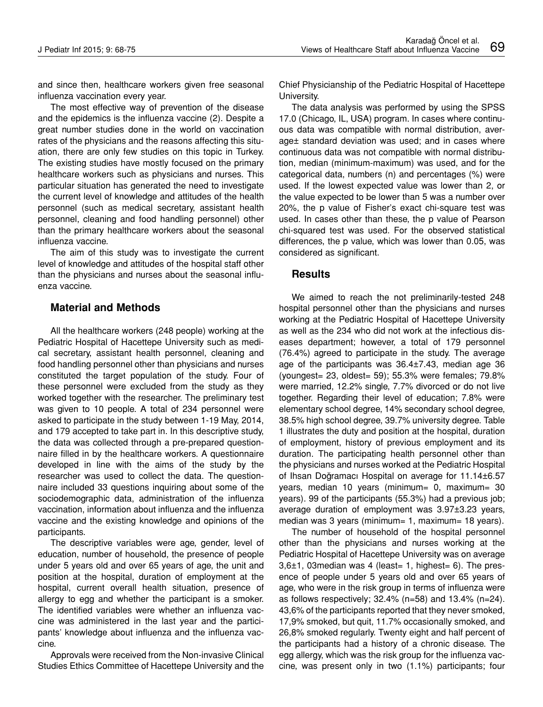and since then, healthcare workers given free seasonal influenza vaccination every year.

The most effective way of prevention of the disease and the epidemics is the influenza vaccine (2). Despite a great number studies done in the world on vaccination rates of the physicians and the reasons affecting this situation, there are only few studies on this topic in Turkey. The existing studies have mostly focused on the primary healthcare workers such as physicians and nurses. This particular situation has generated the need to investigate the current level of knowledge and attitudes of the health personnel (such as medical secretary, assistant health personnel, cleaning and food handling personnel) other than the primary healthcare workers about the seasonal influenza vaccine.

The aim of this study was to investigate the current level of knowledge and attitudes of the hospital staff other than the physicians and nurses about the seasonal influenza vaccine.

### **Material and Methods**

All the healthcare workers (248 people) working at the Pediatric Hospital of Hacettepe University such as medical secretary, assistant health personnel, cleaning and food handling personnel other than physicians and nurses constituted the target population of the study. Four of these personnel were excluded from the study as they worked together with the researcher. The preliminary test was given to 10 people. A total of 234 personnel were asked to participate in the study between 1-19 May, 2014, and 179 accepted to take part in. In this descriptive study, the data was collected through a pre-prepared questionnaire filled in by the healthcare workers. A questionnaire developed in line with the aims of the study by the researcher was used to collect the data. The questionnaire included 33 questions inquiring about some of the sociodemographic data, administration of the influenza vaccination, information about influenza and the influenza vaccine and the existing knowledge and opinions of the participants.

The descriptive variables were age, gender, level of education, number of household, the presence of people under 5 years old and over 65 years of age, the unit and position at the hospital, duration of employment at the hospital, current overall health situation, presence of allergy to egg and whether the participant is a smoker. The identified variables were whether an influenza vaccine was administered in the last year and the participants' knowledge about influenza and the influenza vaccine.

Approvals were received from the Non-invasive Clinical Studies Ethics Committee of Hacettepe University and the Chief Physicianship of the Pediatric Hospital of Hacettepe University.

The data analysis was performed by using the SPSS 17.0 (Chicago, IL, USA) program. In cases where continuous data was compatible with normal distribution, average± standard deviation was used; and in cases where continuous data was not compatible with normal distribution, median (minimum-maximum) was used, and for the categorical data, numbers (n) and percentages (%) were used. If the lowest expected value was lower than 2, or the value expected to be lower than 5 was a number over 20%, the p value of Fisher's exact chi-square test was used. In cases other than these, the p value of Pearson chi-squared test was used. For the observed statistical differences, the p value, which was lower than 0.05, was considered as significant.

### **Results**

We aimed to reach the not preliminarily-tested 248 hospital personnel other than the physicians and nurses working at the Pediatric Hospital of Hacettepe University as well as the 234 who did not work at the infectious diseases department; however, a total of 179 personnel (76.4%) agreed to participate in the study. The average age of the participants was 36.4±7.43, median age 36 (youngest= 23, oldest= 59); 55.3% were females; 79.8% were married, 12.2% single, 7.7% divorced or do not live together. Regarding their level of education; 7.8% were elementary school degree, 14% secondary school degree, 38.5% high school degree, 39.7% university degree. Table 1 illustrates the duty and position at the hospital, duration of employment, history of previous employment and its duration. The participating health personnel other than the physicians and nurses worked at the Pediatric Hospital of Ihsan Doğramacı Hospital on average for 11.14±6.57 years, median 10 years (minimum= 0, maximum= 30 years). 99 of the participants (55.3%) had a previous job; average duration of employment was 3.97±3.23 years, median was 3 years (minimum= 1, maximum= 18 years).

The number of household of the hospital personnel other than the physicians and nurses working at the Pediatric Hospital of Hacettepe University was on average 3,6±1, 03median was 4 (least= 1, highest= 6). The presence of people under 5 years old and over 65 years of age, who were in the risk group in terms of influenza were as follows respectively; 32.4% (n=58) and 13.4% (n=24). 43,6% of the participants reported that they never smoked, 17,9% smoked, but quit, 11.7% occasionally smoked, and 26,8% smoked regularly. Twenty eight and half percent of the participants had a history of a chronic disease. The egg allergy, which was the risk group for the influenza vaccine, was present only in two (1.1%) participants; four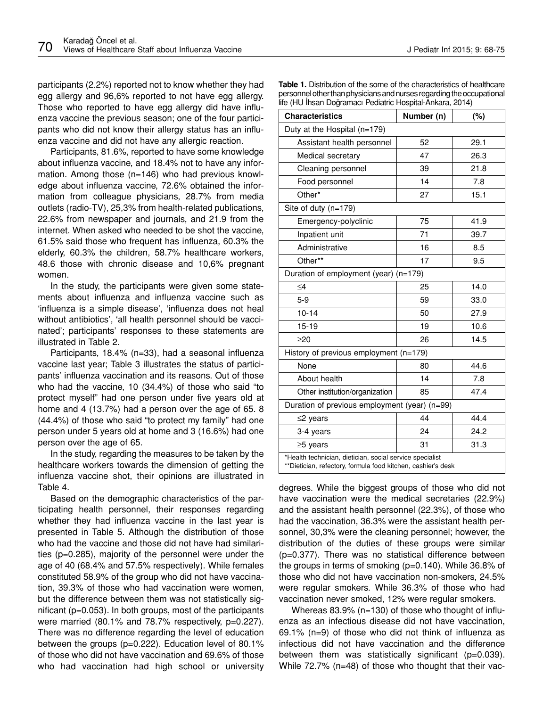participants (2.2%) reported not to know whether they had egg allergy and 96,6% reported to not have egg allergy. Those who reported to have egg allergy did have influenza vaccine the previous season; one of the four participants who did not know their allergy status has an influenza vaccine and did not have any allergic reaction.

Participants, 81.6%, reported to have some knowledge about influenza vaccine, and 18.4% not to have any information. Among those (n=146) who had previous knowledge about influenza vaccine, 72.6% obtained the information from colleague physicians, 28.7% from media outlets (radio-TV), 25,3% from health-related publications, 22.6% from newspaper and journals, and 21.9 from the internet. When asked who needed to be shot the vaccine, 61.5% said those who frequent has influenza, 60.3% the elderly, 60.3% the children, 58.7% healthcare workers, 48.6 those with chronic disease and 10,6% pregnant women.

In the study, the participants were given some statements about influenza and influenza vaccine such as 'influenza is a simple disease', 'influenza does not heal without antibiotics', 'all health personnel should be vaccinated'; participants' responses to these statements are illustrated in Table 2.

Participants, 18.4% (n=33), had a seasonal influenza vaccine last year; Table 3 illustrates the status of participants' influenza vaccination and its reasons. Out of those who had the vaccine, 10 (34.4%) of those who said "to protect myself" had one person under five years old at home and 4 (13.7%) had a person over the age of 65. 8 (44.4%) of those who said "to protect my family" had one person under 5 years old at home and 3 (16.6%) had one person over the age of 65.

In the study, regarding the measures to be taken by the healthcare workers towards the dimension of getting the influenza vaccine shot, their opinions are illustrated in Table 4.

Based on the demographic characteristics of the participating health personnel, their responses regarding whether they had influenza vaccine in the last year is presented in Table 5. Although the distribution of those who had the vaccine and those did not have had similarities (p=0.285), majority of the personnel were under the age of 40 (68.4% and 57.5% respectively). While females constituted 58.9% of the group who did not have vaccination, 39.3% of those who had vaccination were women, but the difference between them was not statistically significant (p=0.053). In both groups, most of the participants were married (80.1% and 78.7% respectively, p=0.227). There was no difference regarding the level of education between the groups (p=0.222). Education level of 80.1% of those who did not have vaccination and 69.6% of those who had vaccination had high school or university

| <b>Table 1.</b> Distribution of the some of the characteristics of healthcare |
|-------------------------------------------------------------------------------|
| personnel other than physicians and nurses regarding the occupational         |
| life (HU Ihsan Doğramacı Pediatric Hospital-Ankara, 2014)                     |

| <b>Characteristics</b>                                                                                                   | Number (n) | (%)  |  |  |  |  |  |  |  |
|--------------------------------------------------------------------------------------------------------------------------|------------|------|--|--|--|--|--|--|--|
| Duty at the Hospital (n=179)                                                                                             |            |      |  |  |  |  |  |  |  |
| Assistant health personnel                                                                                               | 52         | 29.1 |  |  |  |  |  |  |  |
| Medical secretary                                                                                                        | 47         | 26.3 |  |  |  |  |  |  |  |
| Cleaning personnel                                                                                                       | 39         | 21.8 |  |  |  |  |  |  |  |
| Food personnel                                                                                                           | 14         | 7.8  |  |  |  |  |  |  |  |
| Other*                                                                                                                   | 27         | 15.1 |  |  |  |  |  |  |  |
| Site of duty (n=179)                                                                                                     |            |      |  |  |  |  |  |  |  |
| Emergency-polyclinic                                                                                                     | 75         | 41.9 |  |  |  |  |  |  |  |
| Inpatient unit                                                                                                           | 71         | 39.7 |  |  |  |  |  |  |  |
| Administrative                                                                                                           | 16         | 8.5  |  |  |  |  |  |  |  |
| Other**                                                                                                                  | 17         | 9.5  |  |  |  |  |  |  |  |
| Duration of employment (year) (n=179)                                                                                    |            |      |  |  |  |  |  |  |  |
| $\leq 4$                                                                                                                 | 25         | 14.0 |  |  |  |  |  |  |  |
| $5-9$                                                                                                                    | 59         | 33.0 |  |  |  |  |  |  |  |
| $10 - 14$                                                                                                                | 50         | 27.9 |  |  |  |  |  |  |  |
| $15 - 19$                                                                                                                | 19         | 10.6 |  |  |  |  |  |  |  |
| $\geq$ 20                                                                                                                | 26         | 14.5 |  |  |  |  |  |  |  |
| History of previous employment $(n=179)$                                                                                 |            |      |  |  |  |  |  |  |  |
| None                                                                                                                     | 80         | 44.6 |  |  |  |  |  |  |  |
| About health                                                                                                             | 14         | 7.8  |  |  |  |  |  |  |  |
| Other institution/organization                                                                                           | 85         | 47.4 |  |  |  |  |  |  |  |
| Duration of previous employment (year) (n=99)                                                                            |            |      |  |  |  |  |  |  |  |
| $\leq$ 2 years                                                                                                           | 44         | 44.4 |  |  |  |  |  |  |  |
| 3-4 years                                                                                                                | 24         | 24.2 |  |  |  |  |  |  |  |
| $\geq$ 5 years                                                                                                           | 31         | 31.3 |  |  |  |  |  |  |  |
| *Health technician, dietician, social service specialist<br>**Dietician, refectory, formula food kitchen, cashier's desk |            |      |  |  |  |  |  |  |  |

degrees. While the biggest groups of those who did not have vaccination were the medical secretaries (22.9%) and the assistant health personnel (22.3%), of those who had the vaccination, 36.3% were the assistant health personnel, 30,3% were the cleaning personnel; however, the distribution of the duties of these groups were similar (p=0.377). There was no statistical difference between the groups in terms of smoking (p=0.140). While 36.8% of those who did not have vaccination non-smokers, 24.5% were regular smokers. While 36.3% of those who had vaccination never smoked, 12% were regular smokers.

Whereas 83.9% (n=130) of those who thought of influenza as an infectious disease did not have vaccination, 69.1% (n=9) of those who did not think of influenza as infectious did not have vaccination and the difference between them was statistically significant (p=0.039). While 72.7% (n=48) of those who thought that their vac-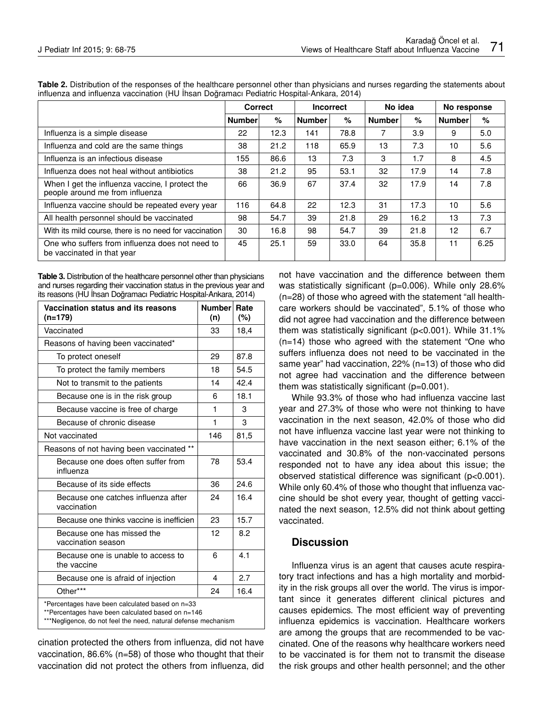|                                                                                    | <b>Correct</b> |      | <b>Incorrect</b> |      | No idea       |      | No response   |      |
|------------------------------------------------------------------------------------|----------------|------|------------------|------|---------------|------|---------------|------|
|                                                                                    | <b>Number</b>  | %    | <b>Number</b>    | $\%$ | <b>Number</b> | %    | <b>Number</b> | $\%$ |
| Influenza is a simple disease                                                      | 22             | 12.3 | 141              | 78.8 | 7             | 3.9  | 9             | 5.0  |
| Influenza and cold are the same things                                             | 38             | 21.2 | 118              | 65.9 | 13            | 7.3  | 10            | 5.6  |
| Influenza is an infectious disease                                                 | 155            | 86.6 | 13               | 7.3  | 3             | 1.7  | 8             | 4.5  |
| Influenza does not heal without antibiotics                                        | 38             | 21.2 | 95               | 53.1 | 32            | 17.9 | 14            | 7.8  |
| When I get the influenza vaccine, I protect the<br>people around me from influenza | 66             | 36.9 | 67               | 37.4 | 32            | 17.9 | 14            | 7.8  |
| Influenza vaccine should be repeated every year                                    | 116            | 64.8 | 22               | 12.3 | 31            | 17.3 | 10            | 5.6  |
| All health personnel should be vaccinated                                          | 98             | 54.7 | 39               | 21.8 | 29            | 16.2 | 13            | 7.3  |
| With its mild course, there is no need for vaccination                             | 30             | 16.8 | 98               | 54.7 | 39            | 21.8 | 12            | 6.7  |
| One who suffers from influenza does not need to<br>be vaccinated in that year      | 45             | 25.1 | 59               | 33.0 | 64            | 35.8 | 11            | 6.25 |

Table 2. Distribution of the responses of the healthcare personnel other than physicians and nurses regarding the statements about influenza and influenza vaccination (HU İhsan Doğramacı Pediatric Hospital-Ankara, 2014)

**Table 3.** Distribution of the healthcare personnel other than physicians and nurses regarding their vaccination status in the previous year and its reasons (HU İhsan Doğramacı Pediatric Hospital-Ankara, 2014)

| Vaccination status and its reasons<br>(n=179)                                                                                                                           | Number Rate<br>(n) | (%)  |  |  |  |  |
|-------------------------------------------------------------------------------------------------------------------------------------------------------------------------|--------------------|------|--|--|--|--|
| Vaccinated                                                                                                                                                              | 33                 | 18,4 |  |  |  |  |
| Reasons of having been vaccinated*                                                                                                                                      |                    |      |  |  |  |  |
| To protect oneself                                                                                                                                                      | 29                 | 87.8 |  |  |  |  |
| To protect the family members                                                                                                                                           | 18                 | 54.5 |  |  |  |  |
| Not to transmit to the patients                                                                                                                                         | 14                 | 42.4 |  |  |  |  |
| Because one is in the risk group                                                                                                                                        | 6                  | 18.1 |  |  |  |  |
| Because vaccine is free of charge                                                                                                                                       | 1                  | 3    |  |  |  |  |
| Because of chronic disease                                                                                                                                              | 1                  | 3    |  |  |  |  |
| Not vaccinated                                                                                                                                                          | 146                | 81,5 |  |  |  |  |
| Reasons of not having been vaccinated **                                                                                                                                |                    |      |  |  |  |  |
| Because one does often suffer from<br>influenza                                                                                                                         | 78                 | 53.4 |  |  |  |  |
| Because of its side effects                                                                                                                                             | 36                 | 24.6 |  |  |  |  |
| Because one catches influenza after<br>vaccination                                                                                                                      | 24                 | 16.4 |  |  |  |  |
| Because one thinks vaccine is inefficien                                                                                                                                | 23                 | 15.7 |  |  |  |  |
| Because one has missed the<br>vaccination season                                                                                                                        | 12                 | 8.2  |  |  |  |  |
| Because one is unable to access to<br>the vaccine                                                                                                                       | 6                  | 4.1  |  |  |  |  |
| Because one is afraid of injection                                                                                                                                      | 4                  | 2.7  |  |  |  |  |
| Other***                                                                                                                                                                | 24                 | 16.4 |  |  |  |  |
| *Percentages have been calculated based on n=33<br>**Percentages have been calculated based on n=146<br>*** Negligence, do not feel the need, natural defense mechanism |                    |      |  |  |  |  |

cination protected the others from influenza, did not have vaccination, 86.6% (n=58) of those who thought that their vaccination did not protect the others from influenza, did not have vaccination and the difference between them was statistically significant (p=0.006). While only 28.6% (n=28) of those who agreed with the statement "all healthcare workers should be vaccinated", 5.1% of those who did not agree had vaccination and the difference between them was statistically significant (p<0.001). While 31.1% (n=14) those who agreed with the statement "One who suffers influenza does not need to be vaccinated in the same year" had vaccination, 22% (n=13) of those who did not agree had vaccination and the difference between them was statistically significant  $(p=0.001)$ .

While 93.3% of those who had influenza vaccine last year and 27.3% of those who were not thinking to have vaccination in the next season, 42.0% of those who did not have influenza vaccine last year were not thinking to have vaccination in the next season either; 6.1% of the vaccinated and 30.8% of the non-vaccinated persons responded not to have any idea about this issue; the observed statistical difference was significant (p<0.001). While only 60.4% of those who thought that influenza vaccine should be shot every year, thought of getting vaccinated the next season, 12.5% did not think about getting vaccinated.

## **Discussion**

Influenza virus is an agent that causes acute respiratory tract infections and has a high mortality and morbidity in the risk groups all over the world. The virus is important since it generates different clinical pictures and causes epidemics. The most efficient way of preventing influenza epidemics is vaccination. Healthcare workers are among the groups that are recommended to be vaccinated. One of the reasons why healthcare workers need to be vaccinated is for them not to transmit the disease the risk groups and other health personnel; and the other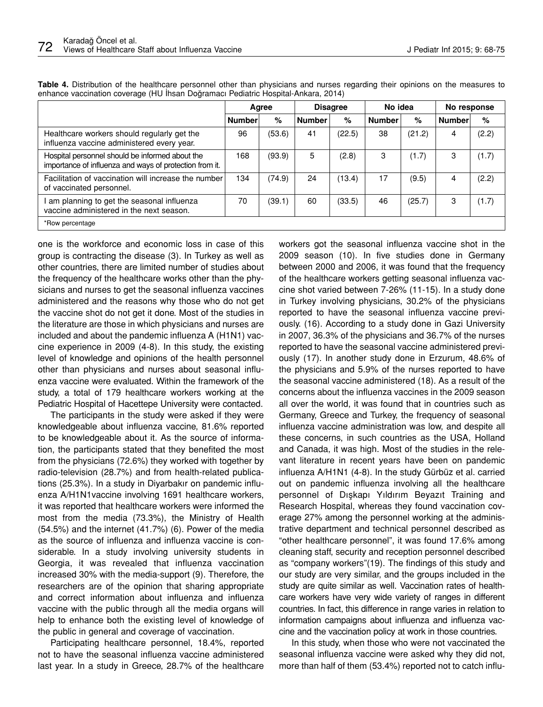|                                                                                                            | Agree         |        | <b>Disagree</b> |        | No idea       |        | No response   |       |
|------------------------------------------------------------------------------------------------------------|---------------|--------|-----------------|--------|---------------|--------|---------------|-------|
|                                                                                                            | <b>Number</b> | %      | <b>Number</b>   | %      | <b>Number</b> | %      | <b>Number</b> | %     |
| Healthcare workers should regularly get the<br>influenza vaccine administered every year.                  | 96            | (53.6) | 41              | (22.5) | 38            | (21.2) | 4             | (2.2) |
| Hospital personnel should be informed about the<br>importance of influenza and ways of protection from it. | 168           | (93.9) | 5               | (2.8)  | 3             | (1.7)  | 3             | (1.7) |
| Facilitation of vaccination will increase the number<br>of vaccinated personnel.                           | 134           | (74.9) | 24              | (13.4) | 17            | (9.5)  | 4             | (2.2) |
| am planning to get the seasonal influenza<br>vaccine administered in the next season.                      | 70            | (39.1) | 60              | (33.5) | 46            | (25.7) | 3             | (1.7) |
| *Row percentage                                                                                            |               |        |                 |        |               |        |               |       |

**Table 4.** Distribution of the healthcare personnel other than physicians and nurses regarding their opinions on the measures to enhance vaccination coverage (HU İhsan Doğramacı Pediatric Hospital-Ankara, 2014)

one is the workforce and economic loss in case of this group is contracting the disease (3). In Turkey as well as other countries, there are limited number of studies about the frequency of the healthcare works other than the physicians and nurses to get the seasonal influenza vaccines administered and the reasons why those who do not get the vaccine shot do not get it done. Most of the studies in the literature are those in which physicians and nurses are included and about the pandemic influenza A (H1N1) vaccine experience in 2009 (4-8). In this study, the existing level of knowledge and opinions of the health personnel other than physicians and nurses about seasonal influenza vaccine were evaluated. Within the framework of the study, a total of 179 healthcare workers working at the Pediatric Hospital of Hacettepe University were contacted.

The participants in the study were asked if they were knowledgeable about influenza vaccine, 81.6% reported to be knowledgeable about it. As the source of information, the participants stated that they benefited the most from the physicians (72.6%) they worked with together by radio-television (28.7%) and from health-related publications (25.3%). In a study in Diyarbakır on pandemic influenza A/H1N1vaccine involving 1691 healthcare workers, it was reported that healthcare workers were informed the most from the media (73.3%), the Ministry of Health (54.5%) and the internet (41.7%) (6). Power of the media as the source of influenza and influenza vaccine is considerable. In a study involving university students in Georgia, it was revealed that influenza vaccination increased 30% with the media-support (9). Therefore, the researchers are of the opinion that sharing appropriate and correct information about influenza and influenza vaccine with the public through all the media organs will help to enhance both the existing level of knowledge of the public in general and coverage of vaccination.

Participating healthcare personnel, 18.4%, reported not to have the seasonal influenza vaccine administered last year. In a study in Greece, 28.7% of the healthcare workers got the seasonal influenza vaccine shot in the 2009 season (10). In five studies done in Germany between 2000 and 2006, it was found that the frequency of the healthcare workers getting seasonal influenza vaccine shot varied between 7-26% (11-15). In a study done in Turkey involving physicians, 30.2% of the physicians reported to have the seasonal influenza vaccine previously. (16). According to a study done in Gazi University in 2007, 36.3% of the physicians and 36.7% of the nurses reported to have the seasonal vaccine administered previously (17). In another study done in Erzurum, 48.6% of the physicians and 5.9% of the nurses reported to have the seasonal vaccine administered (18). As a result of the concerns about the influenza vaccines in the 2009 season all over the world, it was found that in countries such as Germany, Greece and Turkey, the frequency of seasonal influenza vaccine administration was low, and despite all these concerns, in such countries as the USA, Holland and Canada, it was high. Most of the studies in the relevant literature in recent years have been on pandemic influenza A/H1N1 (4-8). In the study Gürbüz et al. carried out on pandemic influenza involving all the healthcare personnel of Dışkapı Yıldırım Beyazıt Training and Research Hospital, whereas they found vaccination coverage 27% among the personnel working at the administrative department and technical personnel described as "other healthcare personnel", it was found 17.6% among cleaning staff, security and reception personnel described as "company workers"(19). The findings of this study and our study are very similar, and the groups included in the study are quite similar as well. Vaccination rates of healthcare workers have very wide variety of ranges in different countries. In fact, this difference in range varies in relation to information campaigns about influenza and influenza vaccine and the vaccination policy at work in those countries.

In this study, when those who were not vaccinated the seasonal influenza vaccine were asked why they did not, more than half of them (53.4%) reported not to catch influ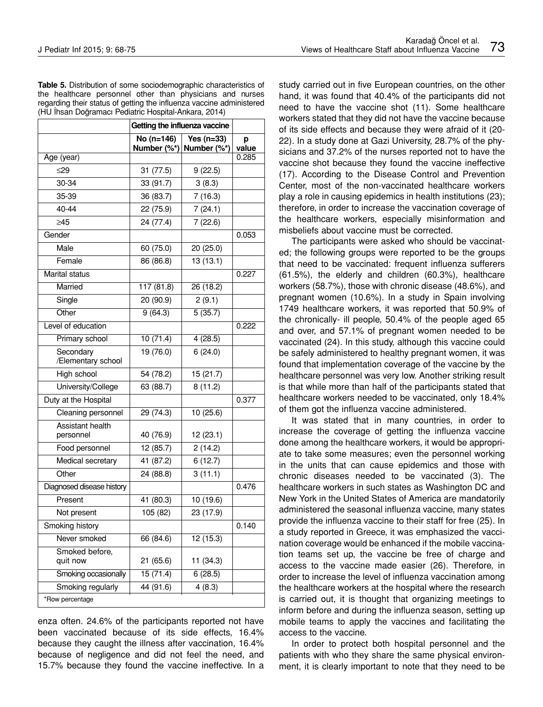**Table 5.** Distribution of some sociodemographic characteristics of the healthcare personnel other than physicians and nurses regarding their status of getting the influenza vaccine administered (HU İhsan Doğramacı Pediatric Hospital-Ankara, 2014)

|                                 | Getting the influenza vaccine |                             |            |
|---------------------------------|-------------------------------|-----------------------------|------------|
|                                 | No (n=146)<br>Number $(\%^*)$ | Yes $(n=33)$<br>Number (%*) | р<br>value |
| Age (year)                      |                               |                             | 0.285      |
| ≤29                             | 31 (77.5)                     | 9(22.5)                     |            |
| 30-34                           | 33 (91.7)                     | 3(8.3)                      |            |
| 35-39                           | 36 (83.7)                     | 7(16.3)                     |            |
| 40-44                           | 22 (75.9)                     | 7(24.1)                     |            |
| >45                             | 24 (77.4)                     | 7(22.6)                     |            |
| Gender                          |                               |                             | 0.053      |
| Male                            | 60 (75.0)                     | 20 (25.0)                   |            |
| Female                          | 86 (86.8)                     | 13(13.1)                    |            |
| Marital status                  |                               |                             | 0.227      |
| Married                         | 117 (81.8)                    | 26(18.2)                    |            |
| Single                          | 20 (90.9)                     | 2(9.1)                      |            |
| Other                           | 9(64.3)                       | 5(35.7)                     |            |
| Level of education              |                               |                             | 0.222      |
| Primary school                  | 10(71.4)                      | 4(28.5)                     |            |
| Secondary<br>/Elementary school | 19 (76.0)                     | 6(24.0)                     |            |
| High school                     | 54 (78.2)                     | 15 (21.7)                   |            |
| University/College              | 63 (88.7)                     | 8(11.2)                     |            |
| Duty at the Hospital            |                               |                             | 0.377      |
| Cleaning personnel              | 29 (74.3)                     | 10 (25.6)                   |            |
| Assistant health<br>personnel   | 40 (76.9)                     | 12(23.1)                    |            |
| Food personnel                  | 12 (85.7)                     | 2(14.2)                     |            |
| Medical secretary               | 41 (87.2)                     | 6(12.7)                     |            |
| Other                           | 24 (88.8)                     | 3(11.1)                     |            |
| Diagnosed disease history       |                               |                             | 0.476      |
| Present                         | 41 (80.3)                     | 10 (19.6)                   |            |
| Not present                     | 105 (82)                      | 23 (17.9)                   |            |
| Smoking history                 |                               |                             | 0.140      |
| Never smoked                    | 66 (84.6)                     | 12 (15.3)                   |            |
| Smoked before,<br>quit now      | 21 (65.6)                     | 11 (34.3)                   |            |
| Smoking occasionally            | 15(71.4)                      | 6(28.5)                     |            |
| Smoking regularly               | 44 (91.6)                     | 4(8.3)                      |            |
| *Row percentage                 |                               |                             |            |

enza often. 24.6% of the participants reported not have been vaccinated because of its side effects, 16.4% because they caught the illness after vaccination, 16.4% because of negligence and did not feel the need, and 15.7% because they found the vaccine ineffective. In a study carried out in five European countries, on the other hand, it was found that 40.4% of the participants did not need to have the vaccine shot (11). Some healthcare workers stated that they did not have the vaccine because of its side effects and because they were afraid of it (20- 22). In a study done at Gazi University, 28.7% of the physicians and 37.2% of the nurses reported not to have the vaccine shot because they found the vaccine ineffective (17). According to the Disease Control and Prevention Center, most of the non-vaccinated healthcare workers play a role in causing epidemics in health institutions (23); therefore, in order to increase the vaccination coverage of the healthcare workers, especially misinformation and misbeliefs about vaccine must be corrected.

The participants were asked who should be vaccinated; the following groups were reported to be the groups that need to be vaccinated: frequent influenza sufferers (61.5%), the elderly and children (60.3%), healthcare workers (58.7%), those with chronic disease (48.6%), and pregnant women (10.6%). In a study in Spain involving 1749 healthcare workers, it was reported that 50.9% of the chronically- ill people, 50.4% of the people aged 65 and over, and 57.1% of pregnant women needed to be vaccinated (24). In this study, although this vaccine could be safely administered to healthy pregnant women, it was found that implementation coverage of the vaccine by the healthcare personnel was very low. Another striking result is that while more than half of the participants stated that healthcare workers needed to be vaccinated, only 18.4% of them got the influenza vaccine administered.

It was stated that in many countries, in order to increase the coverage of getting the influenza vaccine done among the healthcare workers, it would be appropriate to take some measures; even the personnel working in the units that can cause epidemics and those with chronic diseases needed to be vaccinated (3). The healthcare workers in such states as Washington DC and New York in the United States of America are mandatorily administered the seasonal influenza vaccine, many states provide the influenza vaccine to their staff for free (25). In a study reported in Greece, it was emphasized the vaccination coverage would be enhanced if the mobile vaccination teams set up, the vaccine be free of charge and access to the vaccine made easier (26). Therefore, in order to increase the level of influenza vaccination among the healthcare workers at the hospital where the research is carried out, it is thought that organizing meetings to inform before and during the influenza season, setting up mobile teams to apply the vaccines and facilitating the access to the vaccine.

In order to protect both hospital personnel and the patients with who they share the same physical environment, it is clearly important to note that they need to be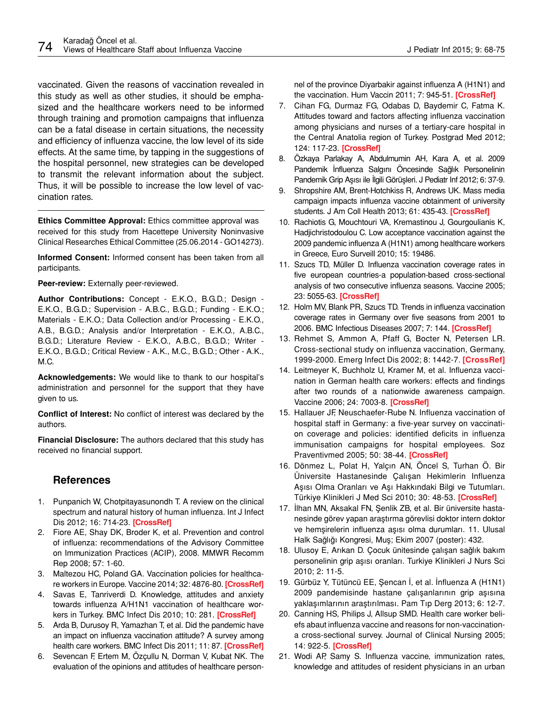vaccinated. Given the reasons of vaccination revealed in this study as well as other studies, it should be emphasized and the healthcare workers need to be informed through training and promotion campaigns that influenza can be a fatal disease in certain situations, the necessity and efficiency of influenza vaccine, the low level of its side effects. At the same time, by tapping in the suggestions of the hospital personnel, new strategies can be developed to transmit the relevant information about the subject. Thus, it will be possible to increase the low level of vaccination rates.

**Ethics Committee Approval:** Ethics committee approval was received for this study from Hacettepe University Noninvasive Clinical Researches Ethical Committee (25.06.2014 - GO14273).

**Informed Consent:** Informed consent has been taken from all participants.

**Peer-review:** Externally peer-reviewed.

**Author Contributions:** Concept - E.K.O., B.G.D.; Design - E.K.O., B.G.D.; Supervision - A.B.C., B.G.D.; Funding - E.K.O.; Materials - E.K.O.; Data Collection and/or Processing - E.K.O., A.B., B.G.D.; Analysis and/or Interpretation - E.K.O., A.B.C., B.G.D.; Literature Review - E.K.O., A.B.C., B.G.D.; Writer - E.K.O., B.G.D.; Critical Review - A.K., M.C., B.G.D.; Other - A.K., M.C.

**Acknowledgements:** We would like to thank to our hospital's administration and personnel for the support that they have given to us.

**Conflict of Interest:** No conflict of interest was declared by the authors.

**Financial Disclosure:** The authors declared that this study has received no financial support.

## **References**

- 1. Punpanich W, Chotpitayasunondh T. A review on the clinical spectrum and natural history of human influenza. Int J Infect Dis 2012; 16: 714-23. **[\[CrossRef\]](http://dx.doi.org/10.1016/j.ijid.2012.05.1025)**
- 2. Fiore AE, Shay DK, Broder K, et al. Prevention and control of influenza: recommendations of the Advisory Committee on Immunization Practices (ACIP), 2008. MMWR Recomm Rep 2008; 57: 1-60.
- 3. Maltezou HC, Poland GA. Vaccination policies for healthcare workers in Europe. Vaccine 2014; 32: 4876-80. **[\[CrossRef](http://dx.doi.org/10.1016/j.vaccine.2013.10.046)]**
- 4. Savas E, Tanriverdi D. Knowledge, attitudes and anxiety towards influenza A/H1N1 vaccination of healthcare workers in Turkey. BMC Infect Dis 2010; 10: 281. **[\[CrossRef](http://dx.doi.org/10.1186/1471-2334-10-281)]**
- 5. Arda B, Durusoy R, Yamazhan T, et al. Did the pandemic have an impact on influenza vaccination attitude? A survey among health care workers. BMC Infect Dis 2011; 11: 87. **[[CrossRef](http://dx.doi.org/10.1186/1471-2334-11-87)]**
- 6. Sevencan F, Ertem M, Özçullu N, Dorman V, Kubat NK. The evaluation of the opinions and attitudes of healthcare person-

nel of the province Diyarbakir against influenza A (H1N1) and the vaccination. Hum Vaccin 2011; 7: 945-51. **[\[CrossRef](http://dx.doi.org/10.4161/hv.7.9.16368)]**

- 7. Cihan FG, Durmaz FG, Odabas D, Baydemir C, Fatma K. Attitudes toward and factors affecting influenza vaccination among physicians and nurses of a tertiary-care hospital in the Central Anatolia region of Turkey. Postgrad Med 2012; 124: 117-23. **[\[CrossRef](http://dx.doi.org/10.3810/pgm.2012.11.2602)]**
- 8. Özkaya Parlakay A, Abdulmumin AH, Kara A, et al. 2009 Pandemik İnfluenza Salgını Öncesinde Sağlık Personelinin Pandemik Grip Aşısı ile İlgili Görüşleri. J Pediatr Inf 2012; 6: 37-9.
- 9. Shropshire AM, Brent-Hotchkiss R, Andrews UK. Mass media campaign impacts influenza vaccine obtainment of university students. J Am Coll Health 2013; 61: 435-43. **[\[CrossRef\]](http://dx.doi.org/10.1080/07448481.2013.830619)**
- 10. Rachiotis G, Mouchtouri VA, Kremastinou J, Gourgoulianis K, Hadjichristodoulou C. Low acceptance vaccination against the 2009 pandemic influenza A (H1N1) among healthcare workers in Greece, Euro Surveill 2010; 15: 19486.
- 11. Szucs TD, Müller D. Influenza vaccination coverage rates in five european countries-a population-based cross-sectional analysis of two consecutive influenza seasons. Vaccine 2005; 23: 5055-63. **[\[CrossRef\]](http://dx.doi.org/10.1016/j.vaccine.2005.06.005)**
- 12. Holm MV, Blank PR, Szucs TD. Trends in influenza vaccination coverage rates in Germany over five seasons from 2001 to 2006. BMC Infectious Diseases 2007; 7: 144. **[\[CrossRef\]](http://dx.doi.org/10.1186/1471-2334-7-144)**
- 13. Rehmet S, Ammon A, Pfaff G, Bocter N, Petersen LR. Cross-sectional study on influenza vaccination, Germany, 1999-2000. Emerg Infect Dis 2002; 8: 1442-7. **[\[CrossRef\]](http://dx.doi.org/10.3201/eid0812.010497)**
- 14. Leitmeyer K, Buchholz U, Kramer M, et al. Influenza vaccination in German health care workers: effects and findings after two rounds of a nationwide awareness campaign. Vaccine 2006; 24: 7003-8. **[\[CrossRef\]](http://dx.doi.org/10.1016/j.vaccine.2006.04.040)**
- 15. Hallauer JF, Neuschaefer-Rube N. Influenza vaccination of hospital staff in Germany: a five-year survey on vaccination coverage and policies: identified deficits in influenza immunisation campaigns for hospital employees. Soz Praventivmed 2005; 50: 38-44. **[\[CrossRef\]](http://dx.doi.org/10.1007/s00038-004-3103-1)**
- 16. Dönmez L, Polat H, Yalçın AN, Öncel S, Turhan Ö. Bir Üniversite Hastanesinde Çalışan Hekimlerin Influenza Aşısı Olma Oranları ve Aşı Hakkındaki Bilgi ve Tutumları. Türkiye Klinikleri J Med Sci 2010; 30: 48-53. **[\[CrossRef\]](http://dx.doi.org/10.5336/medsci.2008-8117)**
- 17. İlhan MN, Aksakal FN, Şenlik ZB, et al. Bir üniversite hastanesinde görev yapan araştırma görevlisi doktor intern doktor ve hemşirelerin influenza aşısı olma durumları. 11. Ulusal Halk Sağlığı Kongresi, Muş; Ekim 2007 (poster): 432.
- 18. Ulusoy E, Arıkan D. Çocuk ünitesinde çalışan sağlık bakım personelinin grip aşısı oranları. Turkiye Klinikleri J Nurs Sci 2010; 2: 11-5.
- 19. Gürbüz Y, Tütüncü EE, Şencan İ, et al. İnfluenza A (H1N1) 2009 pandemisinde hastane çalışanlarının grip aşısına yaklaşımlarının araştırılması. Pam Tıp Derg 2013; 6: 12-7.
- 20. Canning HS, Philips J, Allsup SMD. Health care worker beliefs abaut influenza vaccine and reasons for non-vaccinationa cross-sectional survey. Journal of Clinical Nursing 2005; 14: 922-5. **[\[CrossRef](http://dx.doi.org/10.1111/j.1365-2702.2005.01190.x)]**
- 21. Wodi AP, Samy S. Influenza vaccine, immunization rates, knowledge and attitudes of resident physicians in an urban